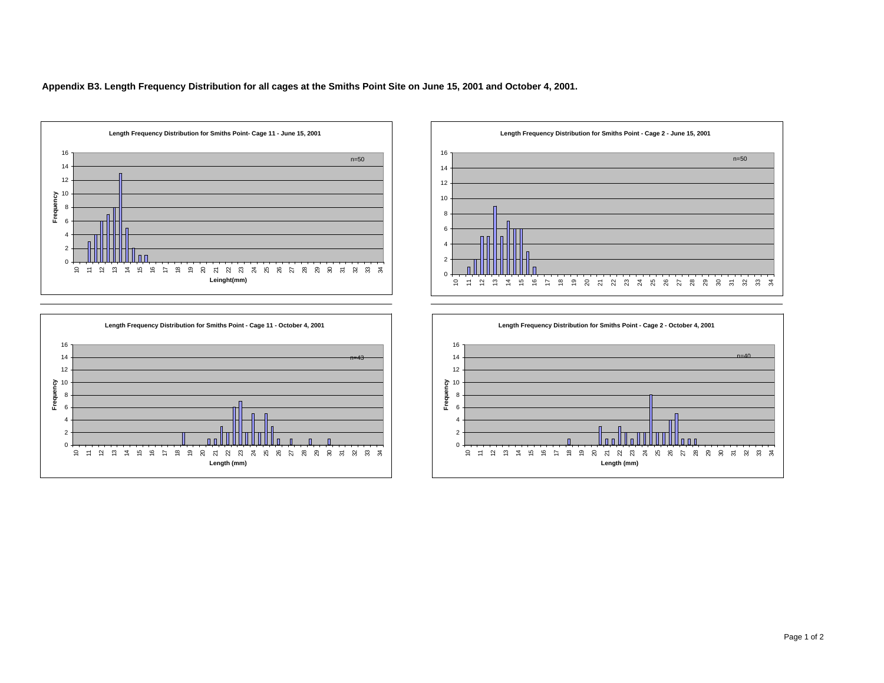**Appendix B3. Length Frequency Distribution for all cages at the Smiths Point Site on June 15, 2001 and October 4, 2001.**